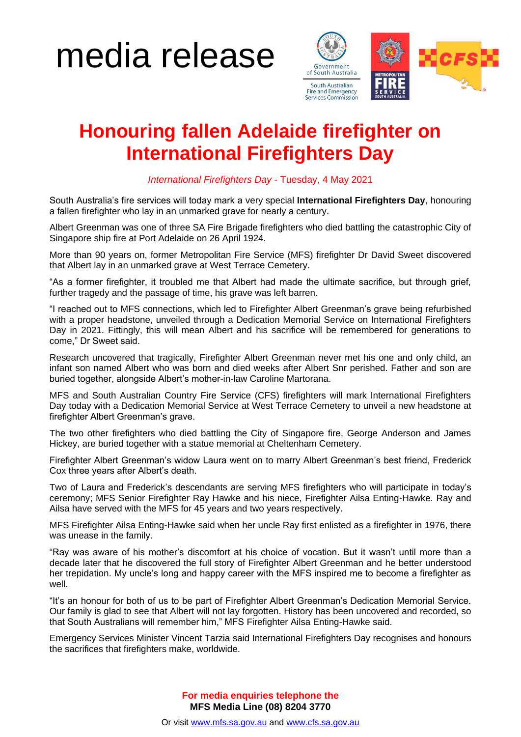## media release



## **Honouring fallen Adelaide firefighter on International Firefighters Day**

*International Firefighters Day* - Tuesday, 4 May 2021

South Australia's fire services will today mark a very special **International Firefighters Day**, honouring a fallen firefighter who lay in an unmarked grave for nearly a century.

Albert Greenman was one of three SA Fire Brigade firefighters who died battling the catastrophic City of Singapore ship fire at Port Adelaide on 26 April 1924.

More than 90 years on, former Metropolitan Fire Service (MFS) firefighter Dr David Sweet discovered that Albert lay in an unmarked grave at West Terrace Cemetery.

"As a former firefighter, it troubled me that Albert had made the ultimate sacrifice, but through grief, further tragedy and the passage of time, his grave was left barren.

"I reached out to MFS connections, which led to Firefighter Albert Greenman's grave being refurbished with a proper headstone, unveiled through a Dedication Memorial Service on International Firefighters Day in 2021. Fittingly, this will mean Albert and his sacrifice will be remembered for generations to come," Dr Sweet said.

Research uncovered that tragically, Firefighter Albert Greenman never met his one and only child, an infant son named Albert who was born and died weeks after Albert Snr perished. Father and son are buried together, alongside Albert's mother-in-law Caroline Martorana.

MFS and South Australian Country Fire Service (CFS) firefighters will mark International Firefighters Day today with a Dedication Memorial Service at West Terrace Cemetery to unveil a new headstone at firefighter Albert Greenman's grave.

The two other firefighters who died battling the City of Singapore fire, George Anderson and James Hickey, are buried together with a statue memorial at Cheltenham Cemetery.

Firefighter Albert Greenman's widow Laura went on to marry Albert Greenman's best friend, Frederick Cox three years after Albert's death.

Two of Laura and Frederick's descendants are serving MFS firefighters who will participate in today's ceremony; MFS Senior Firefighter Ray Hawke and his niece, Firefighter Ailsa Enting-Hawke. Ray and Ailsa have served with the MFS for 45 years and two years respectively.

MFS Firefighter Ailsa Enting-Hawke said when her uncle Ray first enlisted as a firefighter in 1976, there was unease in the family.

"Ray was aware of his mother's discomfort at his choice of vocation. But it wasn't until more than a decade later that he discovered the full story of Firefighter Albert Greenman and he better understood her trepidation. My uncle's long and happy career with the MFS inspired me to become a firefighter as well.

"It's an honour for both of us to be part of Firefighter Albert Greenman's Dedication Memorial Service. Our family is glad to see that Albert will not lay forgotten. History has been uncovered and recorded, so that South Australians will remember him," MFS Firefighter Ailsa Enting-Hawke said.

Emergency Services Minister Vincent Tarzia said International Firefighters Day recognises and honours the sacrifices that firefighters make, worldwide.

> **For media enquiries telephone the MFS Media Line (08) 8204 3770**